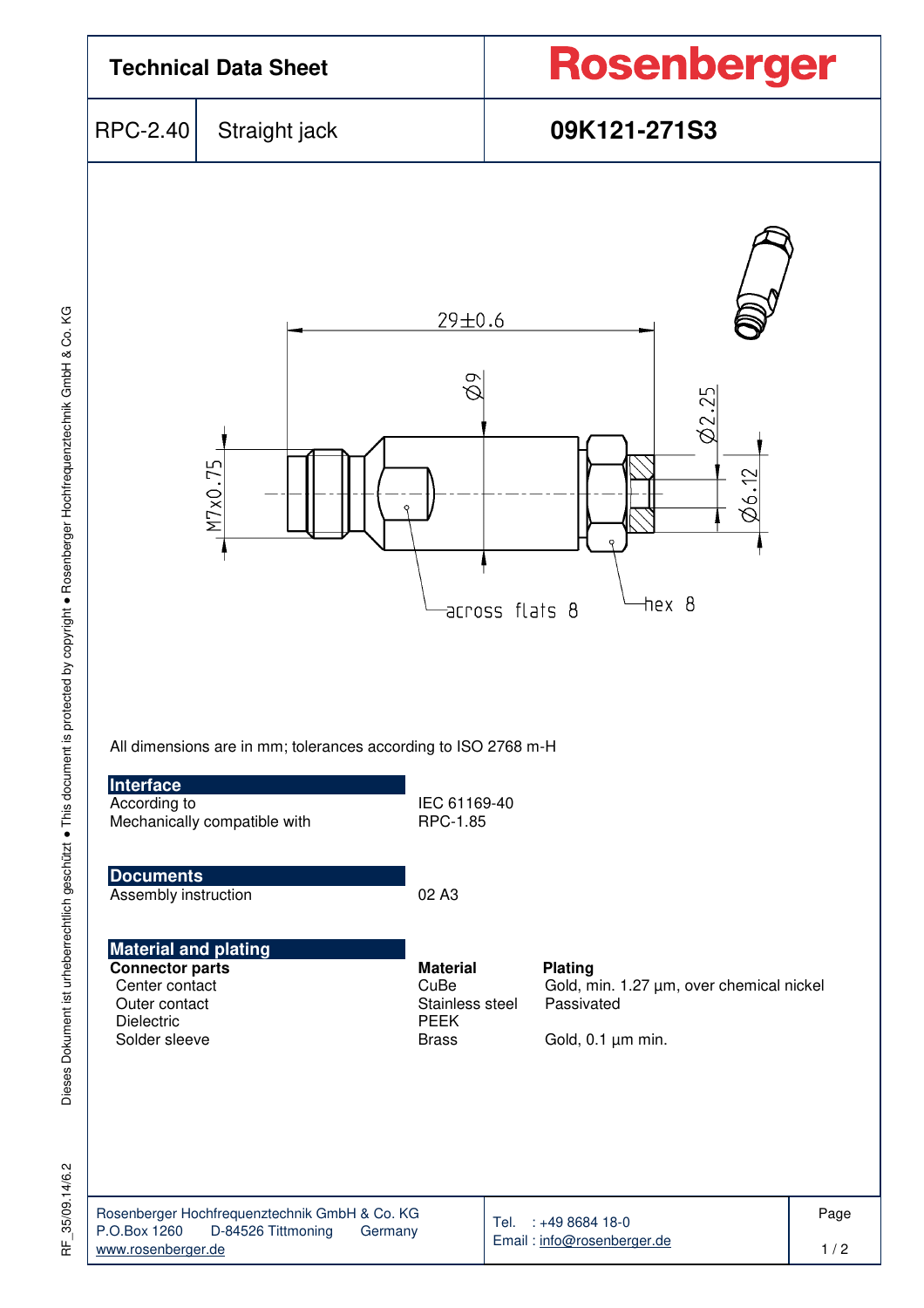

Dieses Dokument ist urheberrechtlich geschützt . This document is protected by copyright . Rosenberger Hochfrequenztechnik GmbH & Co. KG Dieses Dokument ist urheberrechtlich geschützt ● This document is protected by copyright ● Rosenberger Hochfrequenztechnik GmbH & Co. KG

35/09.14/6.2 RF\_35/09.14/6.2 눈